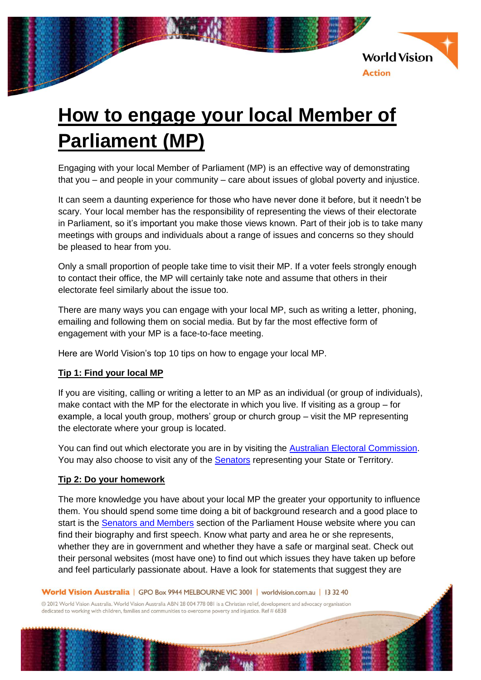

# **How to engage your local Member of Parliament (MP)**

Engaging with your local Member of Parliament (MP) is an effective way of demonstrating that you – and people in your community – care about issues of global poverty and injustice.

It can seem a daunting experience for those who have never done it before, but it needn't be scary. Your local member has the responsibility of representing the views of their electorate in Parliament, so it's important you make those views known. Part of their job is to take many meetings with groups and individuals about a range of issues and concerns so they should be pleased to hear from you.

Only a small proportion of people take time to visit their MP. If a voter feels strongly enough to contact their office, the MP will certainly take note and assume that others in their electorate feel similarly about the issue too.

There are many ways you can engage with your local MP, such as writing a letter, phoning, emailing and following them on social media. But by far the most effective form of engagement with your MP is a face-to-face meeting.

Here are World Vision's top 10 tips on how to engage your local MP.

# **Tip 1: Find your local MP**

If you are visiting, calling or writing a letter to an MP as an individual (or group of individuals), make contact with the MP for the electorate in which you live. If visiting as a group – for example, a local youth group, mothers' group or church group – visit the MP representing the electorate where your group is located.

You can find out which electorate you are in by visiting the [Australian Electoral Commission.](http://apps.aec.gov.au/esearch/Default.aspx) You may also choose to visit any of the [Senators](http://www.aph.gov.au/Senators_and_Members) representing your State or Territory.

#### **Tip 2: Do your homework**

The more knowledge you have about your local MP the greater your opportunity to influence them. You should spend some time doing a bit of background research and a good place to start is the [Senators and Members](http://www.aph.gov.au/Senators_and_Members) section of the Parliament House website where you can find their biography and first speech. Know what party and area he or she represents, whether they are in government and whether they have a safe or marginal seat. Check out their personal websites (most have one) to find out which issues they have taken up before and feel particularly passionate about. Have a look for statements that suggest they are

#### World Vision Australia | GPO Box 9944 MELBOURNE VIC 3001 | worldvision.com.au | 13 32 40

© 2012 World Vision Australia, World Vision Australia ABN 28 004 778 081 is a Christian relief, development and advocacy organisation dedicated to working with children, families and communities to overcome poverty and injustice. Ref # 6838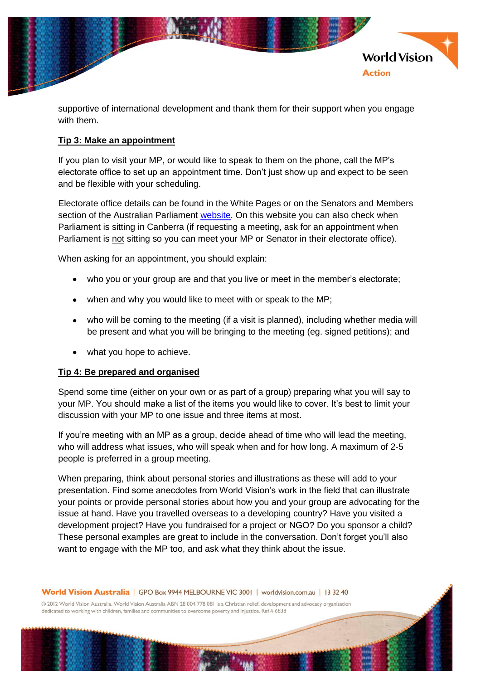

supportive of international development and thank them for their support when you engage with them.

## **Tip 3: Make an appointment**

If you plan to visit your MP, or would like to speak to them on the phone, call the MP's electorate office to set up an appointment time. Don't just show up and expect to be seen and be flexible with your scheduling.

Electorate office details can be found in the White Pages or on the Senators and Members section of the Australian Parliament [website.](http://www.aph.gov.au/) On this website you can also check when Parliament is sitting in Canberra (if requesting a meeting, ask for an appointment when Parliament is not sitting so you can meet your MP or Senator in their electorate office).

When asking for an appointment, you should explain:

- who you or your group are and that you live or meet in the member's electorate;
- when and why you would like to meet with or speak to the MP;
- who will be coming to the meeting (if a visit is planned), including whether media will be present and what you will be bringing to the meeting (eg. signed petitions); and
- what you hope to achieve.

#### **Tip 4: Be prepared and organised**

Spend some time (either on your own or as part of a group) preparing what you will say to your MP. You should make a list of the items you would like to cover. It's best to limit your discussion with your MP to one issue and three items at most.

If you're meeting with an MP as a group, decide ahead of time who will lead the meeting, who will address what issues, who will speak when and for how long. A maximum of 2-5 people is preferred in a group meeting.

When preparing, think about personal stories and illustrations as these will add to your presentation. Find some anecdotes from World Vision's work in the field that can illustrate your points or provide personal stories about how you and your group are advocating for the issue at hand. Have you travelled overseas to a developing country? Have you visited a development project? Have you fundraised for a project or NGO? Do you sponsor a child? These personal examples are great to include in the conversation. Don't forget you'll also want to engage with the MP too, and ask what they think about the issue.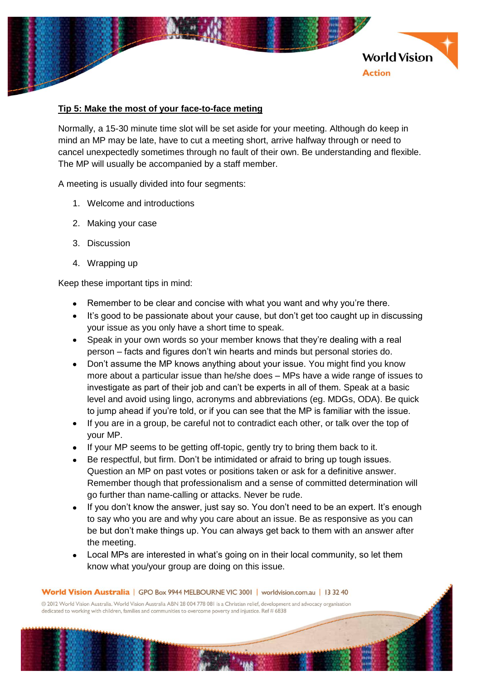

## **Tip 5: Make the most of your face-to-face meting**

Normally, a 15-30 minute time slot will be set aside for your meeting. Although do keep in mind an MP may be late, have to cut a meeting short, arrive halfway through or need to cancel unexpectedly sometimes through no fault of their own. Be understanding and flexible. The MP will usually be accompanied by a staff member.

A meeting is usually divided into four segments:

- 1. Welcome and introductions
- 2. Making your case
- 3. Discussion
- 4. Wrapping up

Keep these important tips in mind:

- Remember to be clear and concise with what you want and why you're there.
- It's good to be passionate about your cause, but don't get too caught up in discussing your issue as you only have a short time to speak.
- Speak in your own words so your member knows that they're dealing with a real person – facts and figures don't win hearts and minds but personal stories do.
- Don't assume the MP knows anything about your issue. You might find you know  $\bullet$ more about a particular issue than he/she does – MPs have a wide range of issues to investigate as part of their job and can't be experts in all of them. Speak at a basic level and avoid using lingo, acronyms and abbreviations (eg. MDGs, ODA). Be quick to jump ahead if you're told, or if you can see that the MP is familiar with the issue.
- If you are in a group, be careful not to contradict each other, or talk over the top of your MP.
- If your MP seems to be getting off-topic, gently try to bring them back to it.  $\bullet$
- Be respectful, but firm. Don't be intimidated or afraid to bring up tough issues. Question an MP on past votes or positions taken or ask for a definitive answer. Remember though that professionalism and a sense of committed determination will go further than name-calling or attacks. Never be rude.
- If you don't know the answer, just say so. You don't need to be an expert. It's enough to say who you are and why you care about an issue. Be as responsive as you can be but don't make things up. You can always get back to them with an answer after the meeting.
- Local MPs are interested in what's going on in their local community, so let them know what you/your group are doing on this issue.

World Vision Australia | GPO Box 9944 MELBOURNE VIC 3001 | worldvision.com.au | 13 32 40

© 2012 World Vision Australia, World Vision Australia ABN 28 004 778 081 is a Christian relief, development and advocacy organisation dedicated to working with children, families and communities to overcome poverty and injustice. Ref # 6838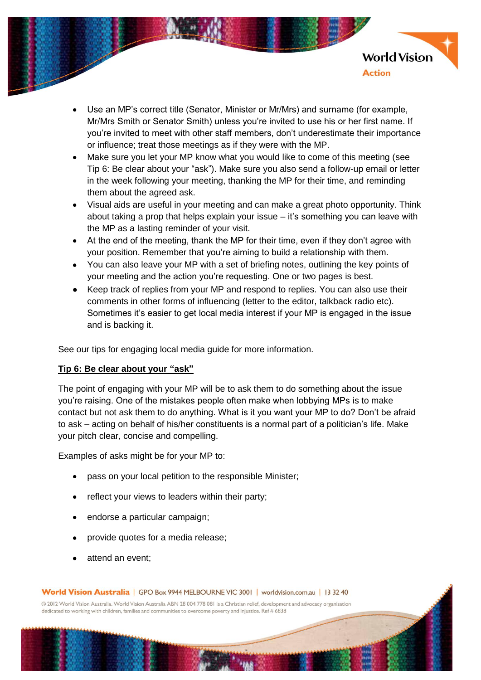

- Use an MP's correct title (Senator, Minister or Mr/Mrs) and surname (for example, Mr/Mrs Smith or Senator Smith) unless you're invited to use his or her first name. If you're invited to meet with other staff members, don't underestimate their importance or influence; treat those meetings as if they were with the MP.
- Make sure you let your MP know what you would like to come of this meeting (see Tip 6: Be clear about your "ask"). Make sure you also send a follow-up email or letter in the week following your meeting, thanking the MP for their time, and reminding them about the agreed ask.
- Visual aids are useful in your meeting and can make a great photo opportunity. Think about taking a prop that helps explain your issue – it's something you can leave with the MP as a lasting reminder of your visit.
- At the end of the meeting, thank the MP for their time, even if they don't agree with  $\bullet$ your position. Remember that you're aiming to build a relationship with them.
- You can also leave your MP with a set of briefing notes, outlining the key points of your meeting and the action you're requesting. One or two pages is best.
- Keep track of replies from your MP and respond to replies. You can also use their comments in other forms of influencing (letter to the editor, talkback radio etc). Sometimes it's easier to get local media interest if your MP is engaged in the issue and is backing it.

See our tips for engaging local media guide for more information.

#### **Tip 6: Be clear about your "ask"**

The point of engaging with your MP will be to ask them to do something about the issue you're raising. One of the mistakes people often make when lobbying MPs is to make contact but not ask them to do anything. What is it you want your MP to do? Don't be afraid to ask – acting on behalf of his/her constituents is a normal part of a politician's life. Make your pitch clear, concise and compelling.

Examples of asks might be for your MP to:

- pass on your local petition to the responsible Minister;
- reflect your views to leaders within their party;
- endorse a particular campaign;
- provide quotes for a media release;
- attend an event;

© 2012 World Vision Australia, World Vision Australia ABN 28 004 778 081 is a Christian relief, development and advocacy organisation dedicated to working with children, families and communities to overcome poverty and injustice. Ref # 6838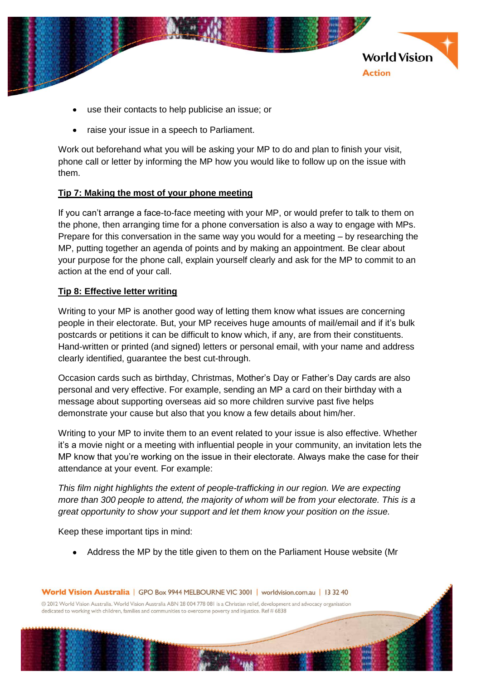

- use their contacts to help publicise an issue; or
- raise your issue in a speech to Parliament.

Work out beforehand what you will be asking your MP to do and plan to finish your visit, phone call or letter by informing the MP how you would like to follow up on the issue with them.

## **Tip 7: Making the most of your phone meeting**

If you can't arrange a face-to-face meeting with your MP, or would prefer to talk to them on the phone, then arranging time for a phone conversation is also a way to engage with MPs. Prepare for this conversation in the same way you would for a meeting – by researching the MP, putting together an agenda of points and by making an appointment. Be clear about your purpose for the phone call, explain yourself clearly and ask for the MP to commit to an action at the end of your call.

## **Tip 8: Effective letter writing**

Writing to your MP is another good way of letting them know what issues are concerning people in their electorate. But, your MP receives huge amounts of mail/email and if it's bulk postcards or petitions it can be difficult to know which, if any, are from their constituents. Hand-written or printed (and signed) letters or personal email, with your name and address clearly identified, guarantee the best cut-through.

Occasion cards such as birthday, Christmas, Mother's Day or Father's Day cards are also personal and very effective. For example, sending an MP a card on their birthday with a message about supporting overseas aid so more children survive past five helps demonstrate your cause but also that you know a few details about him/her.

Writing to your MP to invite them to an event related to your issue is also effective. Whether it's a movie night or a meeting with influential people in your community, an invitation lets the MP know that you're working on the issue in their electorate. Always make the case for their attendance at your event. For example:

*This film night highlights the extent of people-trafficking in our region. We are expecting more than 300 people to attend, the majority of whom will be from your electorate. This is a great opportunity to show your support and let them know your position on the issue.*

Keep these important tips in mind:

Address the MP by the title given to them on the Parliament House website (Mr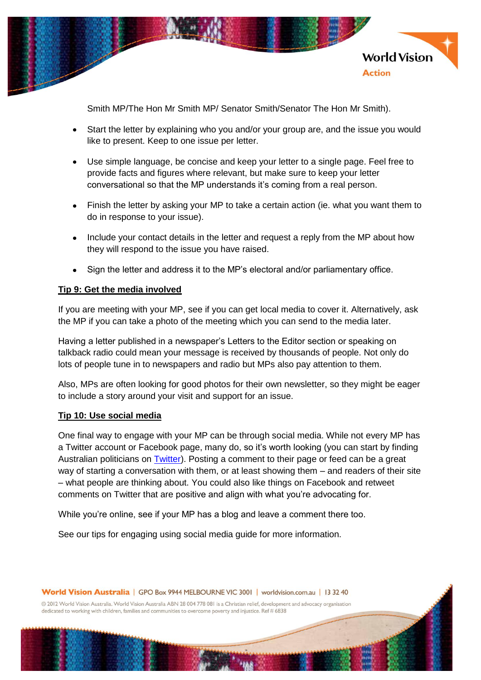

Smith MP/The Hon Mr Smith MP/ Senator Smith/Senator The Hon Mr Smith).

- Start the letter by explaining who you and/or your group are, and the issue you would like to present. Keep to one issue per letter.
- Use simple language, be concise and keep your letter to a single page. Feel free to  $\bullet$ provide facts and figures where relevant, but make sure to keep your letter conversational so that the MP understands it's coming from a real person.
- Finish the letter by asking your MP to take a certain action (ie. what you want them to do in response to your issue).
- Include your contact details in the letter and request a reply from the MP about how they will respond to the issue you have raised.
- Sign the letter and address it to the MP's electoral and/or parliamentary office.

## **Tip 9: Get the media involved**

If you are meeting with your MP, see if you can get local media to cover it. Alternatively, ask the MP if you can take a photo of the meeting which you can send to the media later.

Having a letter published in a newspaper's Letters to the Editor section or speaking on talkback radio could mean your message is received by thousands of people. Not only do lots of people tune in to newspapers and radio but MPs also pay attention to them.

Also, MPs are often looking for good photos for their own newsletter, so they might be eager to include a story around your visit and support for an issue.

#### **Tip 10: Use social media**

One final way to engage with your MP can be through social media. While not every MP has a Twitter account or Facebook page, many do, so it's worth looking (you can start by finding Australian politicians on [Twitter\)](http://mptweets.com.au/politicians/). Posting a comment to their page or feed can be a great way of starting a conversation with them, or at least showing them – and readers of their site – what people are thinking about. You could also like things on Facebook and retweet comments on Twitter that are positive and align with what you're advocating for.

While you're online, see if your MP has a blog and leave a comment there too.

See our tips for engaging using social media guide for more information.